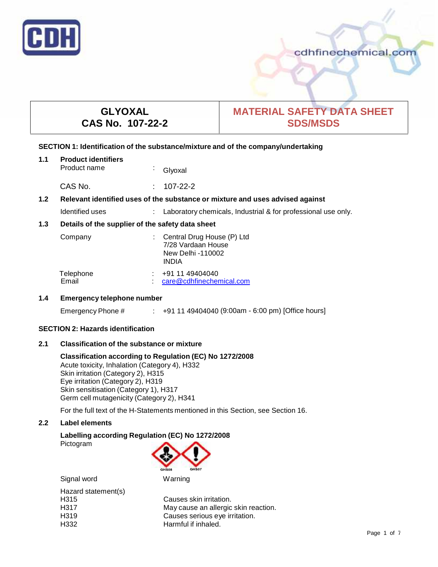

# cdhfinechemical.com

# **GLYOXAL CAS No. 107-22-2**

# **MATERIAL SAFETY DATA SHEET SDS/MSDS**

# **SECTION 1: Identification of the substance/mixture and of the company/undertaking**

| 1.1 | <b>Product identifiers</b><br>Product name                                    | k, | Glyoxal                                                                               |
|-----|-------------------------------------------------------------------------------|----|---------------------------------------------------------------------------------------|
|     | CAS No.                                                                       | ÷  | 107-22-2                                                                              |
| 1.2 | Relevant identified uses of the substance or mixture and uses advised against |    |                                                                                       |
|     | Identified uses                                                               |    | Laboratory chemicals, Industrial & for professional use only.                         |
| 1.3 | Details of the supplier of the safety data sheet                              |    |                                                                                       |
|     | Company                                                                       |    | Central Drug House (P) Ltd<br>7/28 Vardaan House<br>New Delhi -110002<br><b>INDIA</b> |
|     | Telephone<br>Email                                                            |    | +91 11 49404040<br>care@cdhfinechemical.com                                           |

# **1.4 Emergency telephone number**

Emergency Phone # : +91 11 49404040 (9:00am - 6:00 pm) [Office hours]

# **SECTION 2: Hazards identification**

# **2.1 Classification of the substance ormixture**

# **Classification according to Regulation (EC) No 1272/2008** Acute toxicity, Inhalation (Category 4), H332

Skin irritation (Category 2), H315 Eye irritation (Category 2), H319 Skin sensitisation (Category 1), H317 Germ cell mutagenicity (Category 2), H341

For the full text of the H-Statements mentioned in this Section, see Section 16.

# **2.2 Label elements**

# **Labelling according Regulation (EC) No 1272/2008**

Pictogram



| Signal word         | Warning                              |
|---------------------|--------------------------------------|
| Hazard statement(s) |                                      |
| H <sub>315</sub>    | Causes skin irritation.              |
| H317                | May cause an allergic skin reaction. |
| H <sub>3</sub> 19   | Causes serious eye irritation.       |
| H332                | Harmful if inhaled.                  |
|                     |                                      |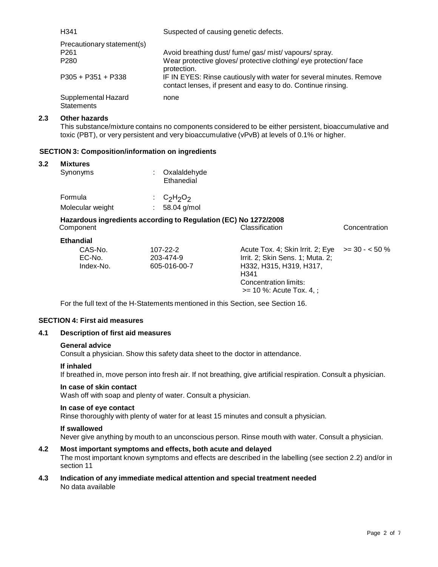| H <sub>341</sub>                                                   | Suspected of causing genetic defects.                                                                                                              |
|--------------------------------------------------------------------|----------------------------------------------------------------------------------------------------------------------------------------------------|
| Precautionary statement(s)<br>P <sub>261</sub><br>P <sub>280</sub> | Avoid breathing dust/fume/gas/mist/vapours/spray.<br>Wear protective gloves/ protective clothing/ eye protection/ face                             |
| $P305 + P351 + P338$                                               | protection.<br>IF IN EYES: Rinse cautiously with water for several minutes. Remove<br>contact lenses, if present and easy to do. Continue rinsing. |
| Supplemental Hazard<br><b>Statements</b>                           | none                                                                                                                                               |

# **2.3 Other hazards**

This substance/mixture contains no components considered to be either persistent, bioaccumulative and toxic (PBT), or very persistent and very bioaccumulative (vPvB) at levels of 0.1% or higher.

# **SECTION 3: Composition/information on ingredients**

### **3.2 Mixtures**

| Synonyms         | Oxalaldehyde<br>Ethanedial |
|------------------|----------------------------|
| Formula          | : $C_2H_2O_2$              |
| Molecular weight | 58.04 g/mol                |

## **Hazardous ingredients according to Regulation (EC) No 1272/2008** Component Classification Concentration

| Ethandial                      |                                             |                                                                                                                                                                                      |  |
|--------------------------------|---------------------------------------------|--------------------------------------------------------------------------------------------------------------------------------------------------------------------------------------|--|
| CAS-No.<br>EC-No.<br>Index-No. | $107 - 22 - 2$<br>203-474-9<br>605-016-00-7 | Acute Tox. 4; Skin Irrit. 2; Eye $\ge$ = 30 - < 50 %<br>Irrit. 2; Skin Sens. 1; Muta. 2;<br>H332, H315, H319, H317,<br>H341<br>Concentration limits:<br>$>= 10 \%$ : Acute Tox. 4, ; |  |

For the full text of the H-Statements mentioned in this Section, see Section 16.

## **SECTION 4: First aid measures**

# **4.1 Description of first aid measures**

#### **General advice**

Consult a physician. Show this safety data sheet to the doctor in attendance.

#### **If inhaled**

If breathed in, move person into fresh air. If not breathing, give artificial respiration. Consult a physician.

#### **In case of skin contact**

Wash off with soap and plenty of water. Consult a physician.

#### **In case of eye contact**

Rinse thoroughly with plenty of water for at least 15 minutes and consult a physician.

#### **If swallowed**

Never give anything by mouth to an unconscious person. Rinse mouth with water. Consult a physician.

# **4.2 Most important symptoms and effects, both acute and delayed**

The most important known symptoms and effects are described in the labelling (see section 2.2) and/or in section 11

### **4.3 Indication of any immediate medical attention and special treatment needed** No data available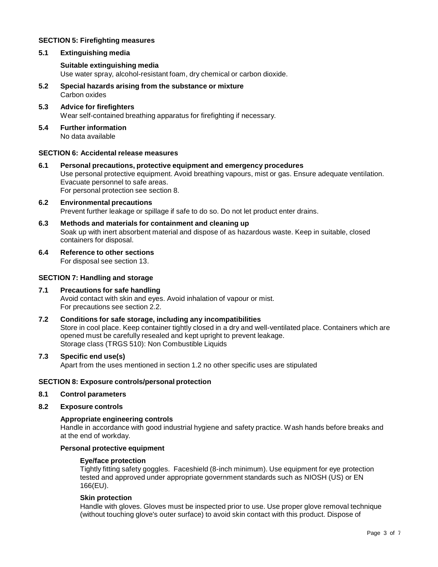# **SECTION 5: Firefighting measures**

# **5.1 Extinguishing media**

# **Suitable extinguishing media**

Use water spray, alcohol-resistant foam, dry chemical or carbon dioxide.

- **5.2 Special hazards arising from the substance ormixture** Carbon oxides
- **5.3 Advice for firefighters** Wear self-contained breathing apparatus for firefighting if necessary.
- **5.4 Further information** No data available

# **SECTION 6: Accidental release measures**

- **6.1 Personal precautions, protective equipment and emergency procedures** Use personal protective equipment. Avoid breathing vapours, mist or gas. Ensure adequate ventilation. Evacuate personnel to safe areas. For personal protection see section 8.
- **6.2 Environmental precautions** Prevent further leakage or spillage if safe to do so. Do not let product enter drains.
- **6.3 Methods and materials for containment and cleaning up** Soak up with inert absorbent material and dispose of as hazardous waste. Keep in suitable, closed containers for disposal.
- **6.4 Reference to other sections**

For disposal see section 13.

# **SECTION 7: Handling and storage**

## **7.1 Precautions for safe handling** Avoid contact with skin and eyes. Avoid inhalation of vapour or mist. For precautions see section 2.2.

**7.2 Conditions for safe storage, including any incompatibilities** Store in cool place. Keep container tightly closed in a dry and well-ventilated place. Containers which are opened must be carefully resealed and kept upright to prevent leakage. Storage class (TRGS 510): Non Combustible Liquids

# **7.3 Specific end use(s)**

Apart from the uses mentioned in section 1.2 no other specific uses are stipulated

# **SECTION 8: Exposure controls/personal protection**

# **8.1 Control parameters**

**8.2 Exposure controls**

#### **Appropriate engineering controls**

Handle in accordance with good industrial hygiene and safety practice. Wash hands before breaks and at the end of workday.

# **Personal protective equipment**

#### **Eye/face protection**

Tightly fitting safety goggles. Faceshield (8-inch minimum). Use equipment for eye protection tested and approved under appropriate government standards such as NIOSH (US) or EN 166(EU).

#### **Skin protection**

Handle with gloves. Gloves must be inspected prior to use. Use proper glove removal technique (without touching glove's outer surface) to avoid skin contact with this product. Dispose of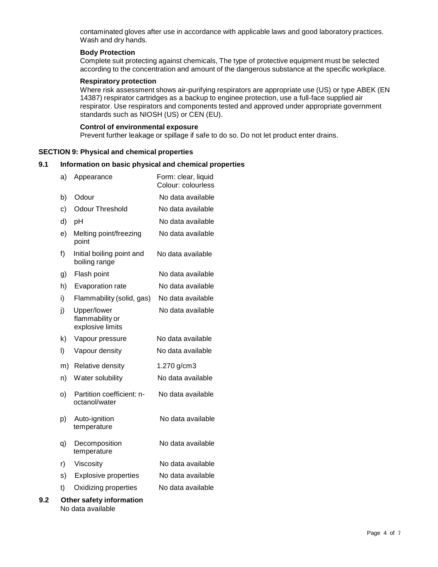contaminated gloves after use in accordance with applicable laws and good laboratory practices. Wash and dry hands.

# **Body Protection**

Complete suit protecting against chemicals, The type of protective equipment must be selected according to the concentration and amount of the dangerous substance at the specific workplace.

### **Respiratory protection**

Where risk assessment shows air-purifying respirators are appropriate use (US) or type ABEK (EN 14387) respirator cartridges as a backup to enginee protection, use a full-face supplied air respirator. Use respirators and components tested and approved under appropriate government standards such as NIOSH (US) or CEN (EU).

#### **Control of environmental exposure**

Prevent further leakage or spillage if safe to do so. Do not let product enter drains.

#### **SECTION 9: Physical and chemical properties**

#### **9.1 Information on basic physical and chemical properties**

|     | a) | Appearance                                         | Form: clear, liquid<br>Colour: colourless |
|-----|----|----------------------------------------------------|-------------------------------------------|
|     | b) | Odour                                              | No data available                         |
|     | c) | <b>Odour Threshold</b>                             | No data available                         |
|     | d) | pH                                                 | No data available                         |
|     | e) | Melting point/freezing<br>point                    | No data available                         |
|     | f) | Initial boiling point and<br>boiling range         | No data available                         |
|     | g) | Flash point                                        | No data available                         |
|     | h) | Evaporation rate                                   | No data available                         |
|     | i) | Flammability (solid, gas)                          | No data available                         |
|     | j) | Upper/lower<br>flammability or<br>explosive limits | No data available                         |
|     | k) | Vapour pressure                                    | No data available                         |
|     | I) | Vapour density                                     | No data available                         |
|     | m) | Relative density                                   | 1.270 g/cm3                               |
|     | n) | Water solubility                                   | No data available                         |
|     | O) | Partition coefficient: n-<br>octanol/water         | No data available                         |
|     | p) | Auto-ignition<br>temperature                       | No data available                         |
|     | q) | Decomposition<br>temperature                       | No data available                         |
|     | r) | Viscosity                                          | No data available                         |
|     | s) | <b>Explosive properties</b>                        | No data available                         |
|     | t) | Oxidizing properties                               | No data available                         |
| 9.2 |    | Other safety information<br>No data available      |                                           |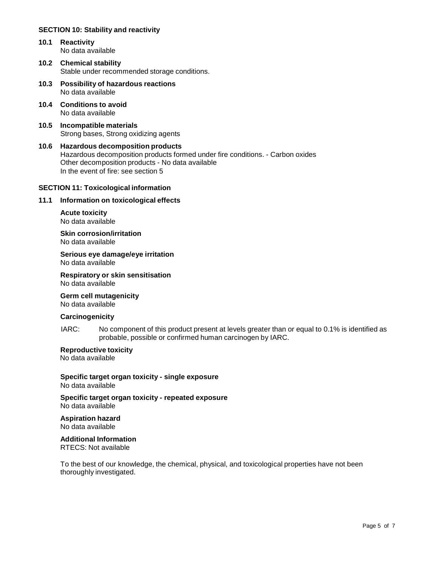# **SECTION 10: Stability and reactivity**

- **10.1 Reactivity** No data available
- **10.2 Chemical stability** Stable under recommended storage conditions.
- **10.3 Possibility of hazardous reactions** No data available
- **10.4 Conditions to avoid** No data available
- **10.5 Incompatible materials** Strong bases, Strong oxidizing agents
- **10.6 Hazardous decomposition products** Hazardous decomposition products formed under fire conditions. - Carbon oxides Other decomposition products - No data available In the event of fire: see section 5

# **SECTION 11: Toxicological information**

#### **11.1 Information on toxicological effects**

**Acute toxicity** No data available

**Skin corrosion/irritation** No data available

# **Serious eye damage/eye irritation**

No data available

#### **Respiratory orskin sensitisation** No data available

**Germ cell mutagenicity**

No data available

# **Carcinogenicity**

IARC: No component of this product present at levels greater than or equal to 0.1% is identified as probable, possible or confirmed human carcinogen by IARC.

# **Reproductive toxicity**

No data available

**Specific target organ toxicity - single exposure** No data available

**Specific target organ toxicity - repeated exposure** No data available

# **Aspiration hazard**

No data available

# **Additional Information**

RTECS: Not available

To the best of our knowledge, the chemical, physical, and toxicological properties have not been thoroughly investigated.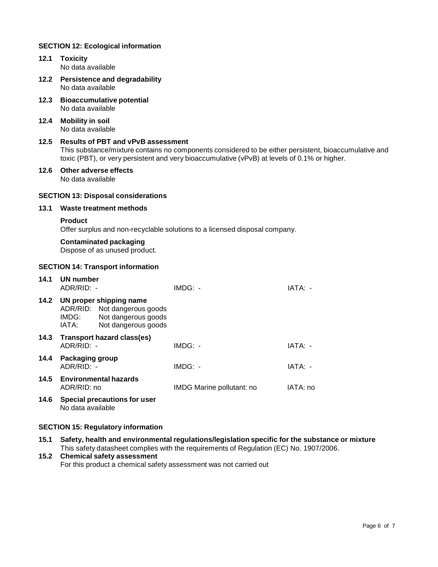# **SECTION 12: Ecological information**

- **12.1 Toxicity** No data available **12.2 Persistence and degradability** No data available **12.3 Bioaccumulative potential** No data available **12.4 Mobility in soil** No data available
	- **12.5 Results of PBT and vPvB assessment** This substance/mixture contains no components considered to be either persistent, bioaccumulative and toxic (PBT), or very persistent and very bioaccumulative (vPvB) at levels of 0.1% or higher.
	- **12.6 Other adverse effects** No data available

# **SECTION 13: Disposal considerations**

**13.1 Waste treatment methods**

#### **Product**

Offer surplus and non-recyclable solutions to a licensed disposal company.

#### **Contaminated packaging**

Dispose of as unused product.

### **SECTION 14: Transport information**

| 14.1 | UN number<br>ADR/RID: -                   |                                                                                                       | $IMDG: -$                 | IATA: -  |
|------|-------------------------------------------|-------------------------------------------------------------------------------------------------------|---------------------------|----------|
| 14.2 | IMDG:<br>IATA:                            | UN proper shipping name<br>ADR/RID: Not dangerous goods<br>Not dangerous goods<br>Not dangerous goods |                           |          |
|      | ADR/RID: -                                | 14.3 Transport hazard class(es)                                                                       | $IMDG: -$                 | IATA: -  |
| 14.4 | Packaging group<br>ADR/RID: -             |                                                                                                       | $IMDG: -$                 | IATA: -  |
|      | 14.5 Environmental hazards<br>ADR/RID: no |                                                                                                       | IMDG Marine pollutant: no | IATA: no |
| 14.6 | No data available                         | Special precautions for user                                                                          |                           |          |

# **SECTION 15: Regulatory information**

**15.1 Safety, health and environmental regulations/legislation specific for the substance ormixture** This safety datasheet complies with the requirements of Regulation (EC) No. 1907/2006.

# **15.2 Chemical safety assessment**

For this product a chemical safety assessment was not carried out